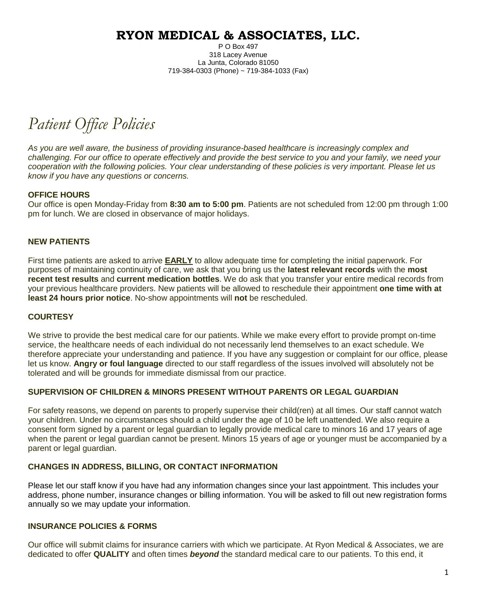P O Box 497 318 Lacey Avenue La Junta, Colorado 81050 719-384-0303 (Phone) ~ 719-384-1033 (Fax)

*Patient Office Policies*

*As you are well aware, the business of providing insurance-based healthcare is increasingly complex and challenging. For our office to operate effectively and provide the best service to you and your family, we need your cooperation with the following policies. Your clear understanding of these policies is very important. Please let us know if you have any questions or concerns.*

#### **OFFICE HOURS**

Our office is open Monday-Friday from **8:30 am to 5:00 pm**. Patients are not scheduled from 12:00 pm through 1:00 pm for lunch. We are closed in observance of major holidays.

#### **NEW PATIENTS**

First time patients are asked to arrive **EARLY** to allow adequate time for completing the initial paperwork. For purposes of maintaining continuity of care, we ask that you bring us the **latest relevant records** with the **most recent test results** and **current medication bottles**. We do ask that you transfer your entire medical records from your previous healthcare providers. New patients will be allowed to reschedule their appointment **one time with at least 24 hours prior notice**. No-show appointments will **not** be rescheduled.

#### **COURTESY**

We strive to provide the best medical care for our patients. While we make every effort to provide prompt on-time service, the healthcare needs of each individual do not necessarily lend themselves to an exact schedule. We therefore appreciate your understanding and patience. If you have any suggestion or complaint for our office, please let us know. **Angry or foul language** directed to our staff regardless of the issues involved will absolutely not be tolerated and will be grounds for immediate dismissal from our practice.

#### **SUPERVISION OF CHILDREN & MINORS PRESENT WITHOUT PARENTS OR LEGAL GUARDIAN**

For safety reasons, we depend on parents to properly supervise their child(ren) at all times. Our staff cannot watch your children. Under no circumstances should a child under the age of 10 be left unattended. We also require a consent form signed by a parent or legal guardian to legally provide medical care to minors 16 and 17 years of age when the parent or legal guardian cannot be present. Minors 15 years of age or younger must be accompanied by a parent or legal guardian.

#### **CHANGES IN ADDRESS, BILLING, OR CONTACT INFORMATION**

Please let our staff know if you have had any information changes since your last appointment. This includes your address, phone number, insurance changes or billing information. You will be asked to fill out new registration forms annually so we may update your information.

#### **INSURANCE POLICIES & FORMS**

Our office will submit claims for insurance carriers with which we participate. At Ryon Medical & Associates, we are dedicated to offer **QUALITY** and often times *beyond* the standard medical care to our patients. To this end, it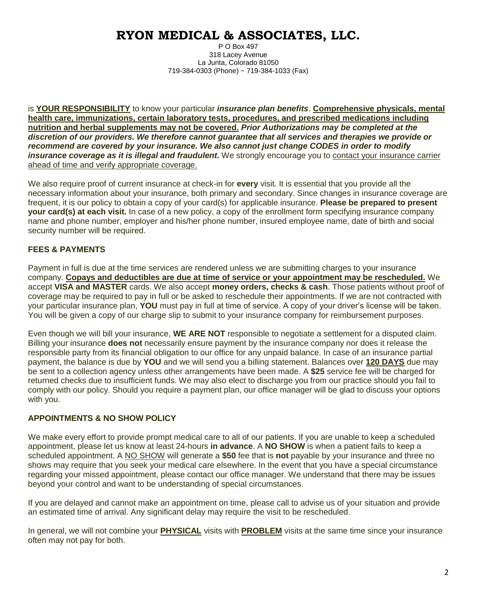P O Box 497 318 Lacey Avenue La Junta, Colorado 81050 719-384-0303 (Phone) ~ 719-384-1033 (Fax)

is **YOUR RESPONSIBILITY** to know your particular *insurance plan benefits*. **Comprehensive physicals, mental health care, immunizations, certain laboratory tests, procedures, and prescribed medications including nutrition and herbal supplements may not be covered.** *Prior Authorizations may be completed at the discretion of our providers. We therefore cannot guarantee that all services and therapies we provide or recommend are covered by your insurance. We also cannot just change CODES in order to modify insurance coverage as it is illegal and fraudulent.* We strongly encourage you to contact your insurance carrier ahead of time and verify appropriate coverage.

We also require proof of current insurance at check-in for **every** visit. It is essential that you provide all the necessary information about your insurance, both primary and secondary. Since changes in insurance coverage are frequent, it is our policy to obtain a copy of your card(s) for applicable insurance. **Please be prepared to present your card(s) at each visit.** In case of a new policy, a copy of the enrollment form specifying insurance company name and phone number, employer and his/her phone number, insured employee name, date of birth and social security number will be required.

### **FEES & PAYMENTS**

Payment in full is due at the time services are rendered unless we are submitting charges to your insurance company. **Copays and deductibles are due at time of service or your appointment may be rescheduled.** We accept **VISA and MASTER** cards. We also accept **money orders, checks & cash**. Those patients without proof of coverage may be required to pay in full or be asked to reschedule their appointments. If we are not contracted with your particular insurance plan, **YOU** must pay in full at time of service. A copy of your driver's license will be taken. You will be given a copy of our charge slip to submit to your insurance company for reimbursement purposes.

Even though we will bill your insurance, **WE ARE NOT** responsible to negotiate a settlement for a disputed claim. Billing your insurance **does not** necessarily ensure payment by the insurance company nor does it release the responsible party from its financial obligation to our office for any unpaid balance. In case of an insurance partial payment, the balance is due by **YOU** and we will send you a billing statement. Balances over **120 DAYS** due may be sent to a collection agency unless other arrangements have been made. A **\$25** service fee will be charged for returned checks due to insufficient funds. We may also elect to discharge you from our practice should you fail to comply with our policy. Should you require a payment plan, our office manager will be glad to discuss your options with you.

### **APPOINTMENTS & NO SHOW POLICY**

We make every effort to provide prompt medical care to all of our patients. If you are unable to keep a scheduled appointment, please let us know at least 24-hours **in advance**. A **NO SHOW** is when a patient fails to keep a scheduled appointment. A NO SHOW will generate a **\$50** fee that is **not** payable by your insurance and three no shows may require that you seek your medical care elsewhere. In the event that you have a special circumstance regarding your missed appointment, please contact our office manager. We understand that there may be issues beyond your control and want to be understanding of special circumstances.

If you are delayed and cannot make an appointment on time, please call to advise us of your situation and provide an estimated time of arrival. Any significant delay may require the visit to be rescheduled.

In general, we will not combine your **PHYSICAL** visits with **PROBLEM** visits at the same time since your insurance often may not pay for both.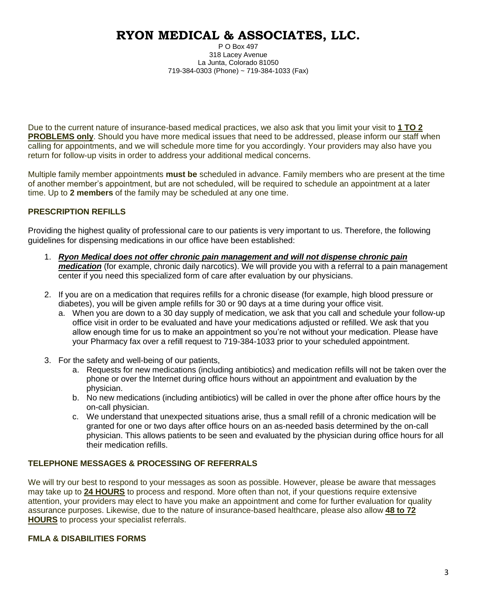P O Box 497 318 Lacey Avenue La Junta, Colorado 81050 719-384-0303 (Phone) ~ 719-384-1033 (Fax)

Due to the current nature of insurance-based medical practices, we also ask that you limit your visit to **1 TO 2 PROBLEMS only**. Should you have more medical issues that need to be addressed, please inform our staff when calling for appointments, and we will schedule more time for you accordingly. Your providers may also have you return for follow-up visits in order to address your additional medical concerns.

Multiple family member appointments **must be** scheduled in advance. Family members who are present at the time of another member's appointment, but are not scheduled, will be required to schedule an appointment at a later time. Up to **2 members** of the family may be scheduled at any one time.

## **PRESCRIPTION REFILLS**

Providing the highest quality of professional care to our patients is very important to us. Therefore, the following guidelines for dispensing medications in our office have been established:

- 1. *Ryon Medical does not offer chronic pain management and will not dispense chronic pain medication* (for example, chronic daily narcotics). We will provide you with a referral to a pain management center if you need this specialized form of care after evaluation by our physicians.
- 2. If you are on a medication that requires refills for a chronic disease (for example, high blood pressure or diabetes), you will be given ample refills for 30 or 90 days at a time during your office visit.
	- a. When you are down to a 30 day supply of medication, we ask that you call and schedule your follow-up office visit in order to be evaluated and have your medications adjusted or refilled. We ask that you allow enough time for us to make an appointment so you're not without your medication. Please have your Pharmacy fax over a refill request to 719-384-1033 prior to your scheduled appointment.
- 3. For the safety and well-being of our patients,
	- a. Requests for new medications (including antibiotics) and medication refills will not be taken over the phone or over the Internet during office hours without an appointment and evaluation by the physician.
	- b. No new medications (including antibiotics) will be called in over the phone after office hours by the on-call physician.
	- c. We understand that unexpected situations arise, thus a small refill of a chronic medication will be granted for one or two days after office hours on an as-needed basis determined by the on-call physician. This allows patients to be seen and evaluated by the physician during office hours for all their medication refills.

### **TELEPHONE MESSAGES & PROCESSING OF REFERRALS**

We will try our best to respond to your messages as soon as possible. However, please be aware that messages may take up to **24 HOURS** to process and respond. More often than not, if your questions require extensive attention, your providers may elect to have you make an appointment and come for further evaluation for quality assurance purposes. Likewise, due to the nature of insurance-based healthcare, please also allow **48 to 72 HOURS** to process your specialist referrals.

### **FMLA & DISABILITIES FORMS**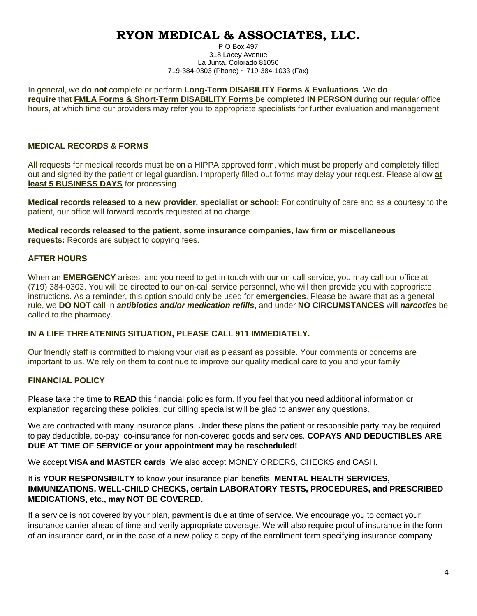P O Box 497 318 Lacey Avenue La Junta, Colorado 81050 719-384-0303 (Phone) ~ 719-384-1033 (Fax)

In general, we **do not** complete or perform **Long-Term DISABILITY Forms & Evaluations**. We **do require** that **FMLA Forms & Short-Term DISABILITY Forms** be completed **IN PERSON** during our regular office hours, at which time our providers may refer you to appropriate specialists for further evaluation and management.

### **MEDICAL RECORDS & FORMS**

All requests for medical records must be on a HIPPA approved form, which must be properly and completely filled out and signed by the patient or legal guardian. Improperly filled out forms may delay your request. Please allow **at least 5 BUSINESS DAYS** for processing.

**Medical records released to a new provider, specialist or school:** For continuity of care and as a courtesy to the patient, our office will forward records requested at no charge.

**Medical records released to the patient, some insurance companies, law firm or miscellaneous requests:** Records are subject to copying fees.

### **AFTER HOURS**

When an **EMERGENCY** arises, and you need to get in touch with our on-call service, you may call our office at (719) 384-0303. You will be directed to our on-call service personnel, who will then provide you with appropriate instructions. As a reminder, this option should only be used for **emergencies**. Please be aware that as a general rule, we **DO NOT** call-in *antibiotics and/or medication refills*, and under **NO CIRCUMSTANCES** will *narcotics* be called to the pharmacy.

### **IN A LIFE THREATENING SITUATION, PLEASE CALL 911 IMMEDIATELY.**

Our friendly staff is committed to making your visit as pleasant as possible. Your comments or concerns are important to us. We rely on them to continue to improve our quality medical care to you and your family.

### **FINANCIAL POLICY**

Please take the time to **READ** this financial policies form. If you feel that you need additional information or explanation regarding these policies, our billing specialist will be glad to answer any questions.

We are contracted with many insurance plans. Under these plans the patient or responsible party may be required to pay deductible, co-pay, co-insurance for non-covered goods and services. **COPAYS AND DEDUCTIBLES ARE DUE AT TIME OF SERVICE or your appointment may be rescheduled!**

We accept **VISA and MASTER cards**. We also accept MONEY ORDERS, CHECKS and CASH.

It is **YOUR RESPONSIBILTY** to know your insurance plan benefits. **MENTAL HEALTH SERVICES, IMMUNIZATIONS, WELL-CHILD CHECKS, certain LABORATORY TESTS, PROCEDURES, and PRESCRIBED MEDICATIONS, etc., may NOT BE COVERED.** 

If a service is not covered by your plan, payment is due at time of service. We encourage you to contact your insurance carrier ahead of time and verify appropriate coverage. We will also require proof of insurance in the form of an insurance card, or in the case of a new policy a copy of the enrollment form specifying insurance company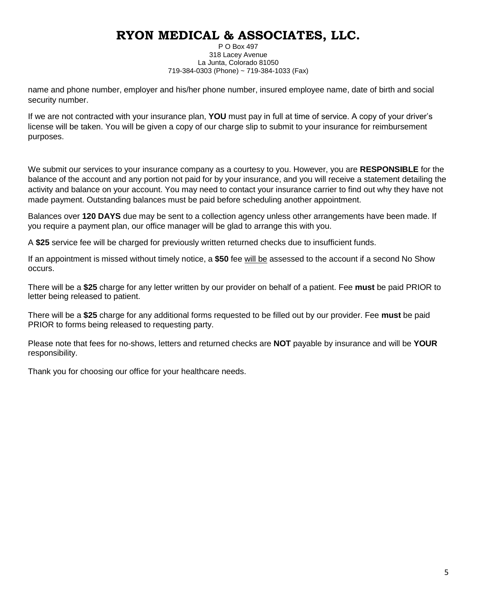P O Box 497 318 Lacey Avenue La Junta, Colorado 81050 719-384-0303 (Phone) ~ 719-384-1033 (Fax)

name and phone number, employer and his/her phone number, insured employee name, date of birth and social security number.

If we are not contracted with your insurance plan, **YOU** must pay in full at time of service. A copy of your driver's license will be taken. You will be given a copy of our charge slip to submit to your insurance for reimbursement purposes.

We submit our services to your insurance company as a courtesy to you. However, you are **RESPONSIBLE** for the balance of the account and any portion not paid for by your insurance, and you will receive a statement detailing the activity and balance on your account. You may need to contact your insurance carrier to find out why they have not made payment. Outstanding balances must be paid before scheduling another appointment.

Balances over **120 DAYS** due may be sent to a collection agency unless other arrangements have been made. If you require a payment plan, our office manager will be glad to arrange this with you.

A **\$25** service fee will be charged for previously written returned checks due to insufficient funds.

If an appointment is missed without timely notice, a **\$50** fee will be assessed to the account if a second No Show occurs.

There will be a **\$25** charge for any letter written by our provider on behalf of a patient. Fee **must** be paid PRIOR to letter being released to patient.

There will be a **\$25** charge for any additional forms requested to be filled out by our provider. Fee **must** be paid PRIOR to forms being released to requesting party.

Please note that fees for no-shows, letters and returned checks are **NOT** payable by insurance and will be **YOUR** responsibility.

Thank you for choosing our office for your healthcare needs.